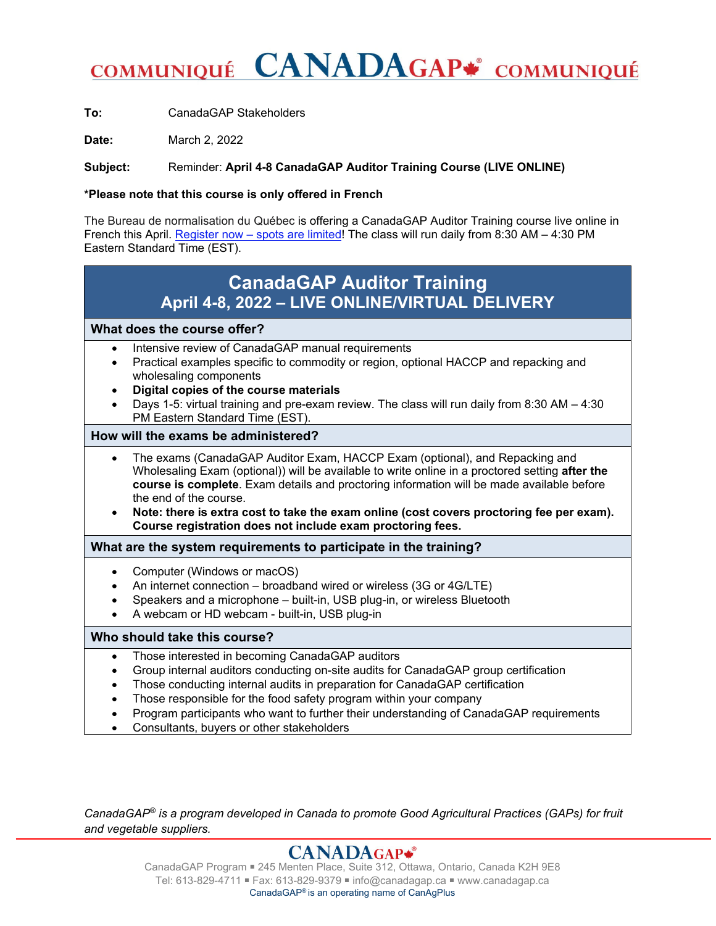# COMMUNIQUÉ CANADAGAP\* COMMUNIQUÉ

**To:** CanadaGAP Stakeholders

**Date:** March 2, 2022

**Subject:** Reminder: **April 4-8 CanadaGAP Auditor Training Course (LIVE ONLINE)**

#### **\*Please note that this course is only offered in French**

The Bureau de normalisation du Québec is offering a CanadaGAP Auditor Training course live online in French this April. Register now – spots are limited! The class will run daily from 8:30 AM – 4:30 PM Eastern Standard Time (EST).

# **CanadaGAP Auditor Training April 4-8, 2022 – LIVE ONLINE/VIRTUAL DELIVERY**

# **What does the course offer?**

- Intensive review of CanadaGAP manual requirements
- Practical examples specific to commodity or region, optional HACCP and repacking and wholesaling components
- **Digital copies of the course materials**
- Days 1-5: virtual training and pre-exam review. The class will run daily from 8:30 AM 4:30 PM Eastern Standard Time (EST).

#### **How will the exams be administered?**

- The exams (CanadaGAP Auditor Exam, HACCP Exam (optional), and Repacking and Wholesaling Exam (optional)) will be available to write online in a proctored setting **after the course is complete**. Exam details and proctoring information will be made available before the end of the course.
- **Note: there is extra cost to take the exam online (cost covers proctoring fee per exam). Course registration does not include exam proctoring fees.**

# **What are the system requirements to participate in the training?**

- Computer (Windows or macOS)
- An internet connection broadband wired or wireless (3G or 4G/LTE)
- Speakers and a microphone built-in, USB plug-in, or wireless Bluetooth
- A webcam or HD webcam built-in, USB plug-in

# **Who should take this course?**

- Those interested in becoming CanadaGAP auditors
- Group internal auditors conducting on-site audits for CanadaGAP group certification
- Those conducting internal audits in preparation for CanadaGAP certification
- Those responsible for the food safety program within your company
- Program participants who want to further their understanding of CanadaGAP requirements
- Consultants, buyers or other stakeholders

*CanadaGAP® is a program developed in Canada to promote Good Agricultural Practices (GAPs) for fruit and vegetable suppliers.*